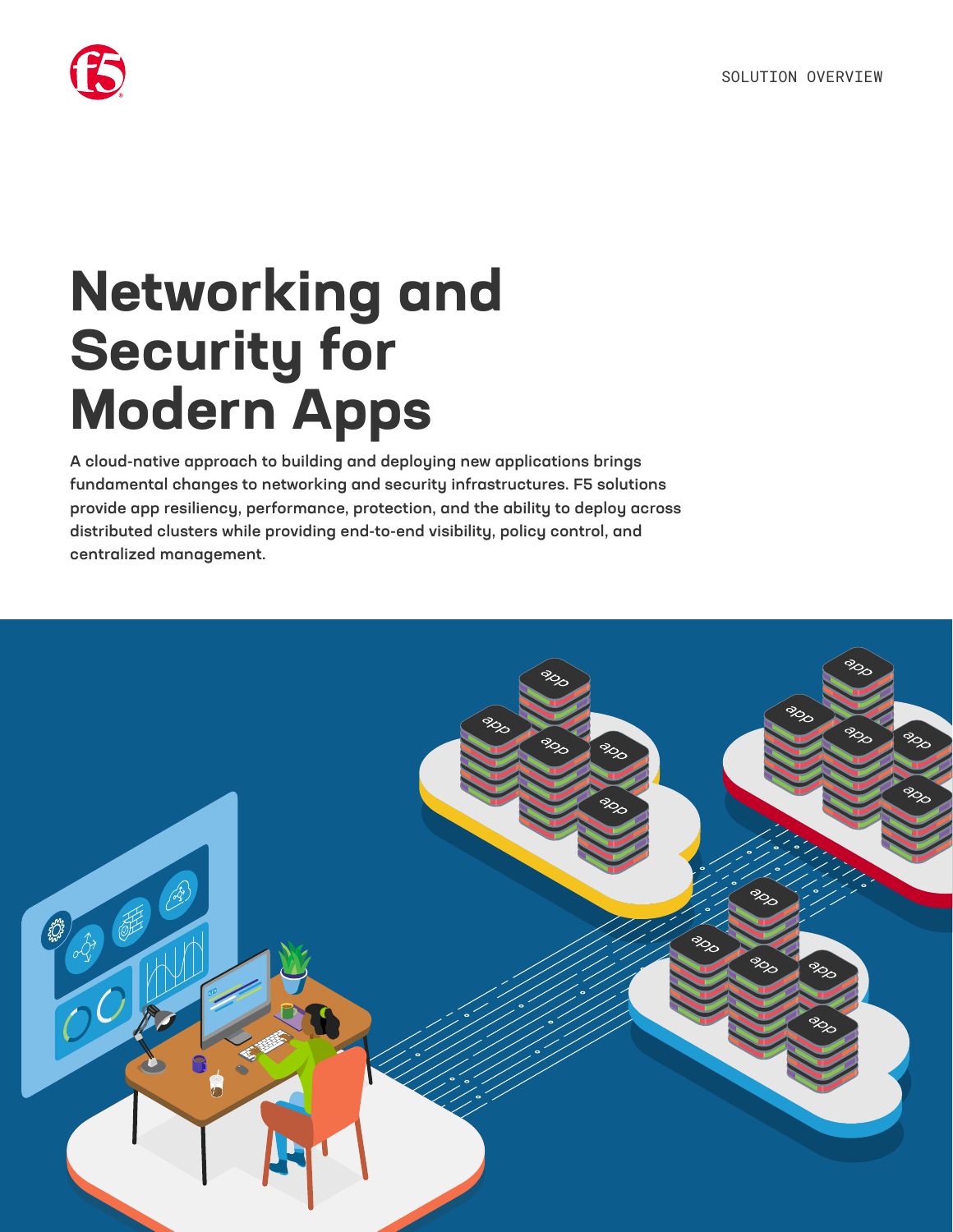

# **Networking and Security for Modern Apps**

A cloud-native approach to building and deploying new applications brings fundamental changes to networking and security infrastructures. F5 solutions provide app resiliency, performance, protection, and the ability to deploy across distributed clusters while providing end-to-end visibility, policy control, and centralized management.

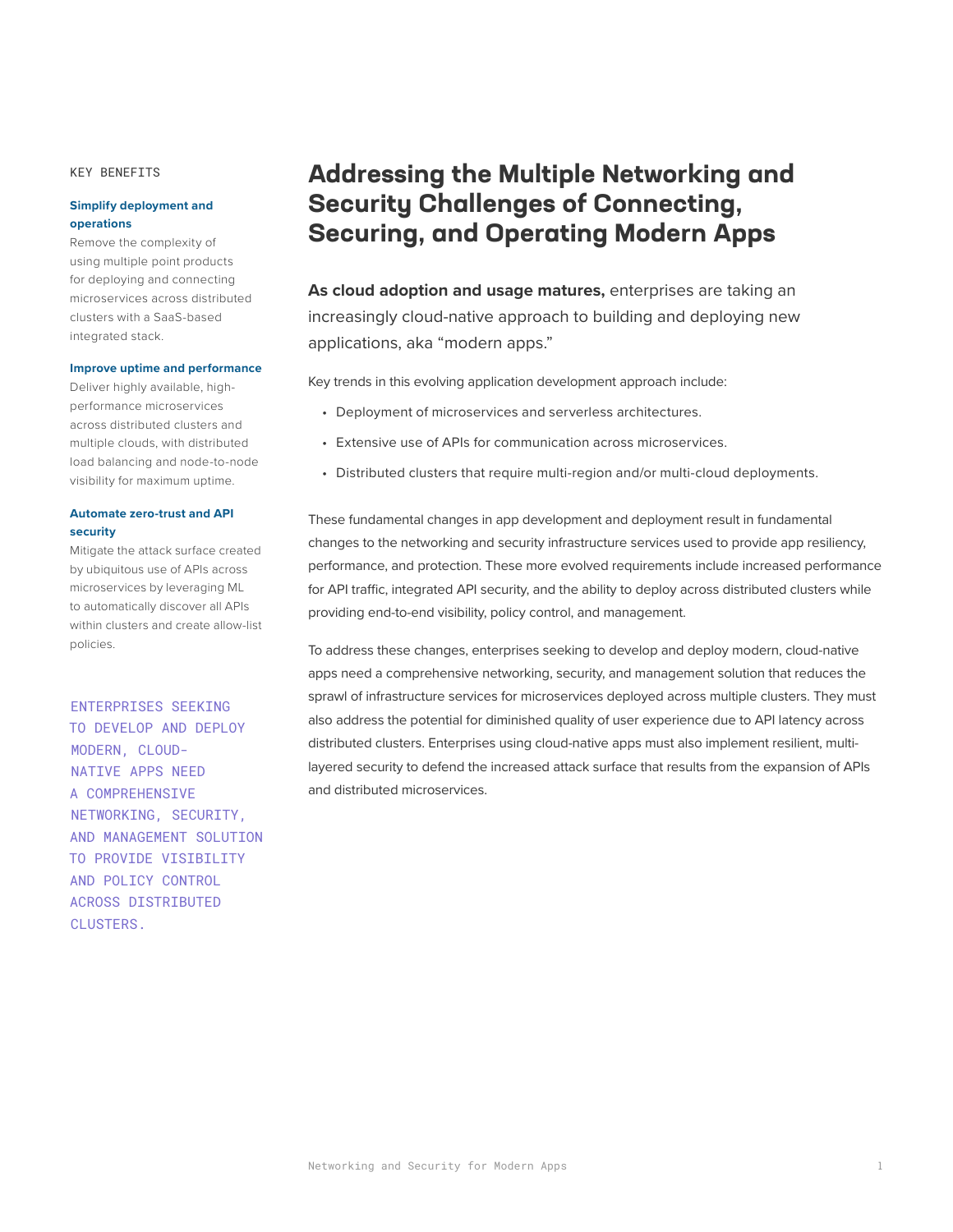KEY BENEFITS

#### **Simplify deployment and operations**

Remove the complexity of using multiple point products for deploying and connecting microservices across distributed clusters with a SaaS-based integrated stack.

#### **Improve uptime and performance**

Deliver highly available, highperformance microservices across distributed clusters and multiple clouds, with distributed load balancing and node-to-node visibility for maximum uptime.

#### **Automate zero-trust and API security**

Mitigate the attack surface created by ubiquitous use of APIs across microservices by leveraging ML to automatically discover all APIs within clusters and create allow-list policies.

ENTERPRISES SEEKING TO DEVELOP AND DEPLOY MODERN, CLOUD-NATIVE APPS NEED A COMPREHENSIVE NETWORKING, SECURITY, AND MANAGEMENT SOLUTION TO PROVIDE VISIBILITY AND POLICY CONTROL ACROSS DISTRIBUTED CLUSTERS.

## **Addressing the Multiple Networking and Security Challenges of Connecting, Securing, and Operating Modern Apps**

**As cloud adoption and usage matures,** enterprises are taking an increasingly cloud-native approach to building and deploying new applications, aka "modern apps."

Key trends in this evolving application development approach include:

- Deployment of microservices and serverless architectures.
- Extensive use of APIs for communication across microservices.
- Distributed clusters that require multi-region and/or multi-cloud deployments.

These fundamental changes in app development and deployment result in fundamental changes to the networking and security infrastructure services used to provide app resiliency, performance, and protection. These more evolved requirements include increased performance for API traffic, integrated API security, and the ability to deploy across distributed clusters while providing end-to-end visibility, policy control, and management.

To address these changes, enterprises seeking to develop and deploy modern, cloud-native apps need a comprehensive networking, security, and management solution that reduces the sprawl of infrastructure services for microservices deployed across multiple clusters. They must also address the potential for diminished quality of user experience due to API latency across distributed clusters. Enterprises using cloud-native apps must also implement resilient, multilayered security to defend the increased attack surface that results from the expansion of APIs and distributed microservices.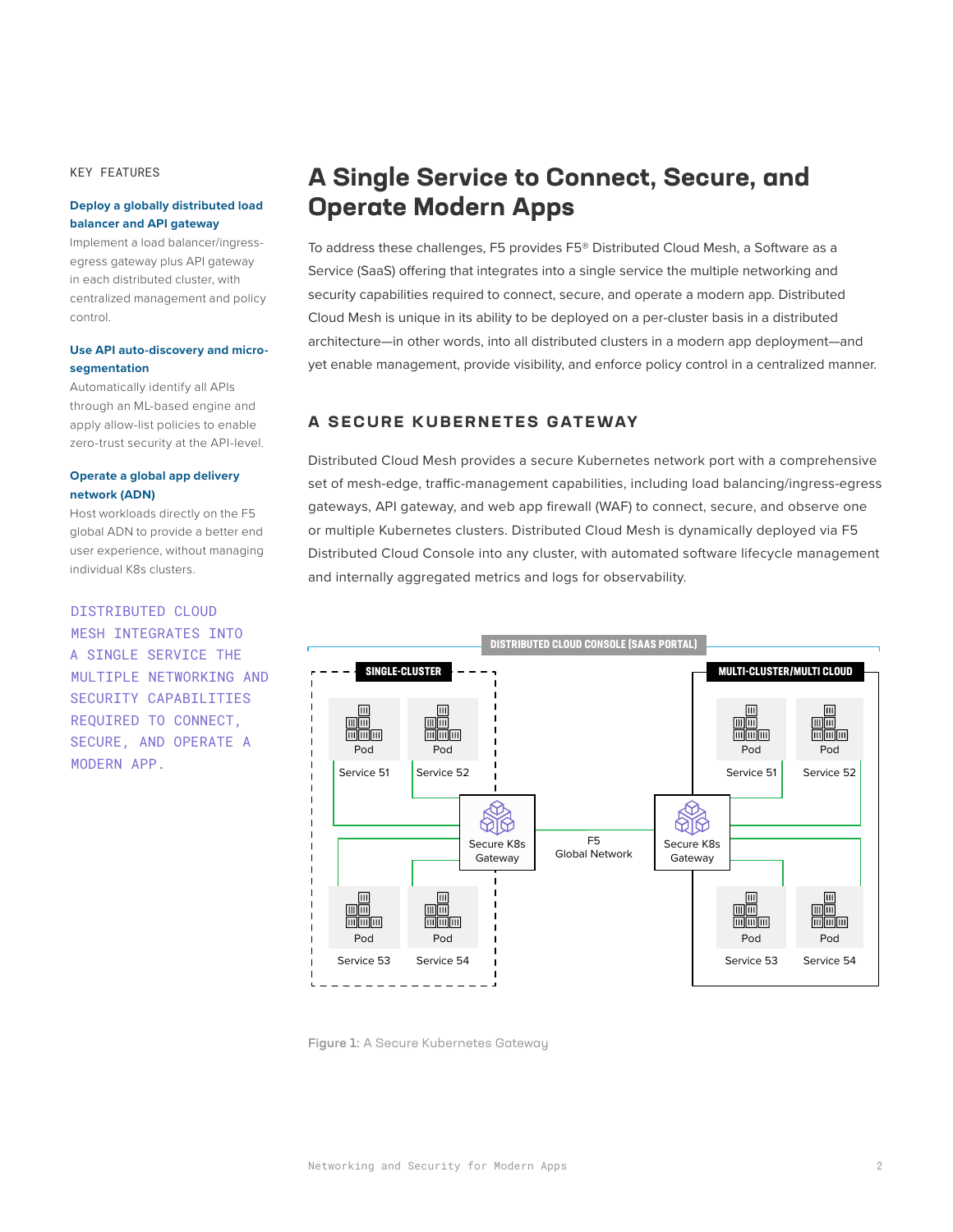KEY FEATURES

#### **Deploy a globally distributed load balancer and API gateway**

Implement a load balancer/ingressegress gateway plus API gateway in each distributed cluster, with centralized management and policy control.

#### **Use API auto-discovery and microsegmentation**

Automatically identify all APIs through an ML-based engine and apply allow-list policies to enable zero-trust security at the API-level.

#### **Operate a global app delivery network (ADN)**

Host workloads directly on the F5 global ADN to provide a better end user experience, without managing individual K8s clusters.

#### DISTRIBUTED CLOUD

MESH INTEGRATES INTO A SINGLE SERVICE THE MULTIPLE NETWORKING AND SECURITY CAPABILITIES REQUIRED TO CONNECT, SECURE, AND OPERATE A MODERN APP.

## **A Single Service to Connect, Secure, and Operate Modern Apps**

To address these challenges, F5 provides F5® Distributed Cloud Mesh, a Software as a Service (SaaS) offering that integrates into a single service the multiple networking and security capabilities required to connect, secure, and operate a modern app. Distributed Cloud Mesh is unique in its ability to be deployed on a per-cluster basis in a distributed architecture—in other words, into all distributed clusters in a modern app deployment—and yet enable management, provide visibility, and enforce policy control in a centralized manner.

## **A SECURE KUBERNETES GATEWAY**

Distributed Cloud Mesh provides a secure Kubernetes network port with a comprehensive set of mesh-edge, traffic-management capabilities, including load balancing/ingress-egress gateways, API gateway, and web app firewall (WAF) to connect, secure, and observe one or multiple Kubernetes clusters. Distributed Cloud Mesh is dynamically deployed via F5 Distributed Cloud Console into any cluster, with automated software lifecycle management and internally aggregated metrics and logs for observability.



Figure 1: A Secure Kubernetes Gateway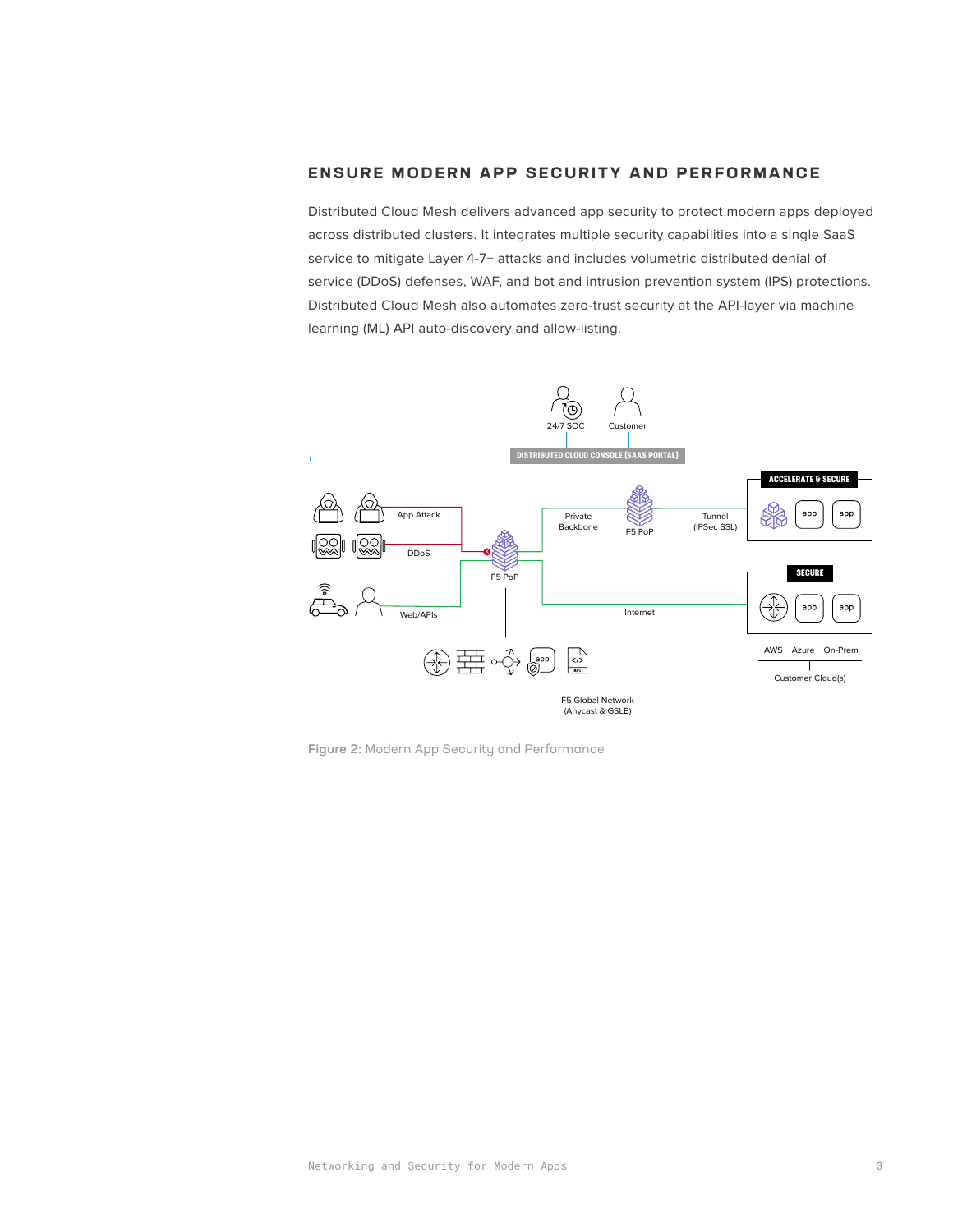## **ENSURE MODERN APP SECURITY AND PERFORMANCE**

Distributed Cloud Mesh delivers advanced app security to protect modern apps deployed across distributed clusters. It integrates multiple security capabilities into a single SaaS service to mitigate Layer 4-7+ attacks and includes volumetric distributed denial of service (DDoS) defenses, WAF, and bot and intrusion prevention system (IPS) protections. Distributed Cloud Mesh also automates zero-trust security at the API-layer via machine learning (ML) API auto-discovery and allow-listing.



Figure 2: Modern App Security and Performance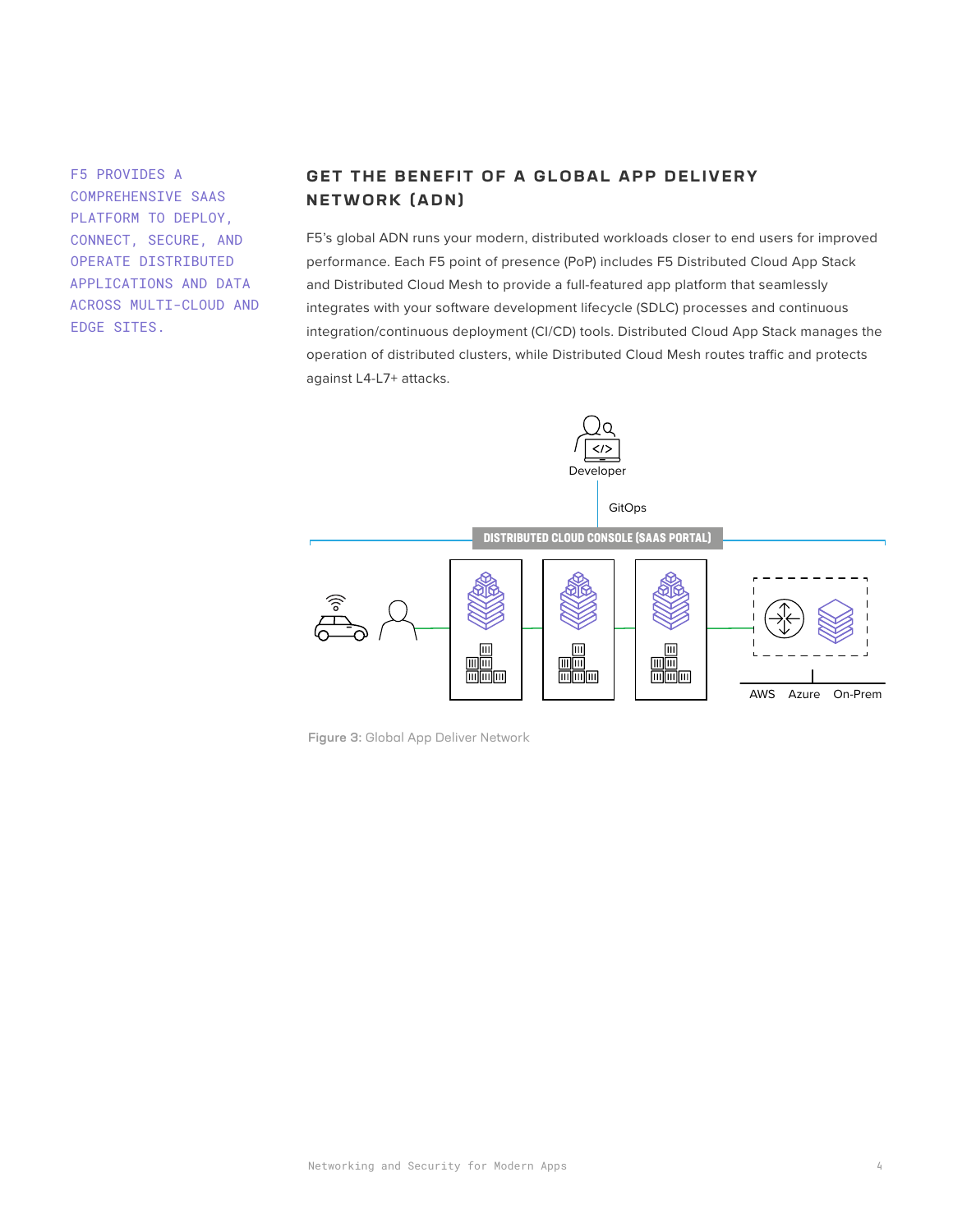F5 PROVIDES A COMPREHENSIVE SAAS PLATFORM TO DEPLOY, CONNECT, SECURE, AND OPERATE DISTRIBUTED APPLICATIONS AND DATA ACROSS MULTI-CLOUD AND EDGE SITES.

## **GET THE BENEFIT OF A GLOBAL APP DELIVERY NETWORK (ADN)**

F5's global ADN runs your modern, distributed workloads closer to end users for improved performance. Each F5 point of presence (PoP) includes F5 Distributed Cloud App Stack and Distributed Cloud Mesh to provide a full-featured app platform that seamlessly integrates with your software development lifecycle (SDLC) processes and continuous integration/continuous deployment (CI/CD) tools. Distributed Cloud App Stack manages the operation of distributed clusters, while Distributed Cloud Mesh routes traffic and protects against L4-L7+ attacks.



Figure 3: Global App Deliver Network